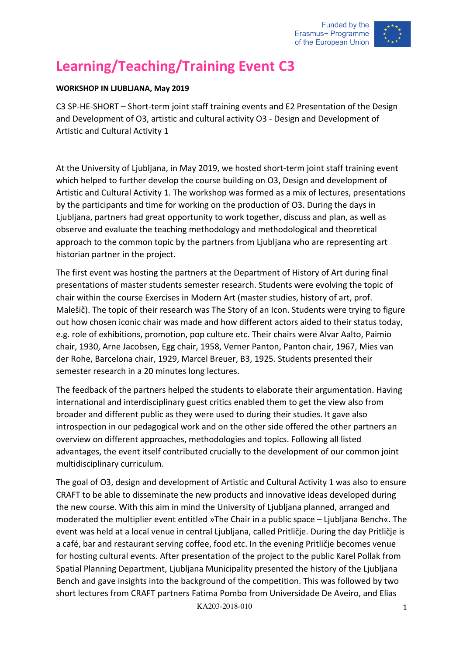

## **Learning/Teaching/Training Event C3**

## **WORKSHOP IN LJUBLJANA, May 2019**

C3 SP-HE-SHORT – Short-term joint staff training events and E2 Presentation of the Design and Development of O3, artistic and cultural activity O3 - Design and Development of Artistic and Cultural Activity 1

At the University of Ljubljana, in May 2019, we hosted short-term joint staff training event which helped to further develop the course building on O3, Design and development of Artistic and Cultural Activity 1. The workshop was formed as a mix of lectures, presentations by the participants and time for working on the production of O3. During the days in Ljubljana, partners had great opportunity to work together, discuss and plan, as well as observe and evaluate the teaching methodology and methodological and theoretical approach to the common topic by the partners from Ljubljana who are representing art historian partner in the project.

The first event was hosting the partners at the Department of History of Art during final presentations of master students semester research. Students were evolving the topic of chair within the course Exercises in Modern Art (master studies, history of art, prof. Malešič). The topic of their research was The Story of an Icon. Students were trying to figure out how chosen iconic chair was made and how different actors aided to their status today, e.g. role of exhibitions, promotion, pop culture etc. Their chairs were Alvar Aalto, Paimio chair, 1930, Arne Jacobsen, Egg chair, 1958, Verner Panton, Panton chair, 1967, Mies van der Rohe, Barcelona chair, 1929, Marcel Breuer, B3, 1925. Students presented their semester research in a 20 minutes long lectures.

The feedback of the partners helped the students to elaborate their argumentation. Having international and interdisciplinary guest critics enabled them to get the view also from broader and different public as they were used to during their studies. It gave also introspection in our pedagogical work and on the other side offered the other partners an overview on different approaches, methodologies and topics. Following all listed advantages, the event itself contributed crucially to the development of our common joint multidisciplinary curriculum.

The goal of O3, design and development of Artistic and Cultural Activity 1 was also to ensure CRAFT to be able to disseminate the new products and innovative ideas developed during the new course. With this aim in mind the University of Ljubljana planned, arranged and moderated the multiplier event entitled »The Chair in a public space – Ljubljana Bench«. The event was held at a local venue in central Ljubljana, called Pritličje. During the day Pritličje is a café, bar and restaurant serving coffee, food etc. In the evening Pritličje becomes venue for hosting cultural events. After presentation of the project to the public Karel Pollak from Spatial Planning Department, Ljubljana Municipality presented the history of the Ljubljana Bench and gave insights into the background of the competition. This was followed by two short lectures from CRAFT partners Fatima Pombo from Universidade De Aveiro, and Elias